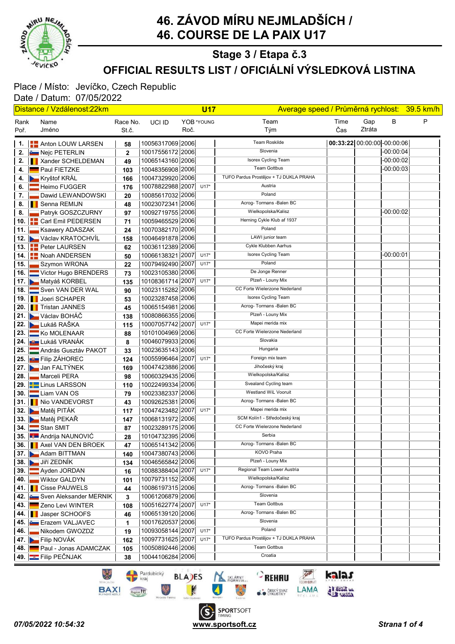

# 46. ZÁVOD MÍRU NEJMLADŠÍCH / 46. COURSE DE LA PAIX U17

### OFFICIAL RESULTS LIST / OFICIÁLNÍ VÝSLEDKOVÁ LISTINA Stage 3 / Etapa č.3

#### Place / Místo: Jevíčko, Czech Republic Date / Datum: 07/05/2022

| Distance / Vzdálenost:22km |  |                                   |              | <b>U17</b>                           |      |            | Average speed / Průměrná rychlost: 39.5 km/h |      |                             |             |   |
|----------------------------|--|-----------------------------------|--------------|--------------------------------------|------|------------|----------------------------------------------|------|-----------------------------|-------------|---|
| Rank                       |  | Name                              | Race No.     | UCI ID                               |      | YOB *YOUNG | Team                                         | Time | Gap                         | в           | P |
| Poř.                       |  | Jméno                             | St.č.        |                                      | Roč. |            | Tým                                          | Čas  | Ztráta                      |             |   |
|                            |  |                                   |              |                                      |      |            | <b>Team Roskilde</b>                         |      |                             |             |   |
|                            |  | 1. <b>     </b> Anton LOUW LARSEN | 58           | 10056317069 2006                     |      |            | Slovenia                                     |      | 00:33:22 00:00:00 -00:00:06 |             |   |
|                            |  | 2. <b>E.</b> Nejc PETERLIN        | $\mathbf{2}$ | 10017556172 2006                     |      |            | Isorex Cycling Team                          |      |                             | $-00:00:04$ |   |
|                            |  | 2.   Xander SCHELDEMAN            | 49           | 10065143160 2006                     |      |            | <b>Team Gottbus</b>                          |      |                             | $-00:00:02$ |   |
| 4. I                       |  | Paul FIETZKE                      | 103          | 10048356908 2006                     |      |            | TUFO Pardus Prostějov + TJ DUKLA PRAHA       |      |                             | $-00:00:03$ |   |
|                            |  | 4. Kryštof KRÁL                   | 166          | 10047329920 2006                     |      |            | Austria                                      |      |                             |             |   |
| 6.                         |  | Heimo FUGGER                      | 176          | 10078822988 2007                     |      | $U17*$     | Poland                                       |      |                             |             |   |
| 7.                         |  | Dawid LEWANDOWSKI                 | 20           | 10085617032 2006                     |      |            | Acrog- Tormans - Balen BC                    |      |                             |             |   |
|                            |  | 8. <b>I</b> Senna REMIJN          | 48           | 10023072341 2006                     |      |            | Wielkopolska/Kalisz                          |      |                             |             |   |
| 8.                         |  | <b>Patryk GOSZCZURNY</b>          | 97           | 10092719755 2006                     |      |            | Herning Cykle Klub af 1937                   |      |                             | $-00:00:02$ |   |
|                            |  | 10. <b>Carl Emil PEDERSEN</b>     | 71           | 10059465529 2006                     |      |            | Poland                                       |      |                             |             |   |
| 11. l                      |  | Ksawery ADASZAK                   | 24           | 10070382170 2006                     |      |            | LAWI junior team                             |      |                             |             |   |
|                            |  | 12. Václav KRATOCHVÍL             | 158          | 10046491878 2006                     |      |            | Cykle Klubben Aarhus                         |      |                             |             |   |
|                            |  | 13. <b>Peter LAURSEN</b>          | 62           | 10036112389 2006                     |      |            | Isorex Cycling Team                          |      |                             | $-00:00:01$ |   |
|                            |  | 14.   Noah ANDERSEN               | 50           | 10066138321 2007                     |      | $U17*$     | Poland                                       |      |                             |             |   |
| 15.                        |  | Szymon WRONA                      | 22           | 10079492490 2007                     |      | $U17*$     | De Jonge Renner                              |      |                             |             |   |
| 16. I                      |  | Victor Hugo BRENDERS              | 73           | 10023105380 2006                     |      |            | Plzeň - Louny Mix                            |      |                             |             |   |
|                            |  | 17. Matyáš KORBEL                 | 135          | 10108361714 2007                     |      | $U17*$     | CC Forte Wielerzone Nederland                |      |                             |             |   |
|                            |  | 18. Sven VAN DER WAL              | 90           | 10023115282 2006                     |      |            | Isorex Cycling Team                          |      |                             |             |   |
|                            |  | 19.   Joeri SCHAPER               | 53           | 10023287458 2006                     |      |            | Acrog- Tormans - Balen BC                    |      |                             |             |   |
|                            |  | 20. Tristan JANNES                | 45           | 10065154981 2006                     |      |            | Plzeň - Louny Mix                            |      |                             |             |   |
|                            |  | 21. Václav BOHÁČ                  | 138          | 10080866355 2006                     |      |            | Mapei merida mix                             |      |                             |             |   |
|                            |  | 22. Lukáš RAŠKA                   | 115          | 10007057742 2007                     |      | $U17*$     | CC Forte Wielerzone Nederland                |      |                             |             |   |
|                            |  | 23.   Ko MOLENAAR                 | 88           | 10101004969 2006                     |      |            | Slovakia                                     |      |                             |             |   |
|                            |  | 24. <b>JAN LUKÁŠ VRANÁK</b>       | 8            | 10046079933 2006                     |      |            | Hungaria                                     |      |                             |             |   |
|                            |  | 25. András Gusztáv PAKOT          | 33           | 10023635143 2006                     |      |            | Foreign mix team                             |      |                             |             |   |
|                            |  | 25. <b>JULY</b> Filip ZÁHOREC     | 124          | 10055996464 2007                     |      | $U17*$     | Jihočeský kraj                               |      |                             |             |   |
|                            |  | 27. Jan FALTÝNEK                  | 169          | 10047423886 2006                     |      |            | Wielkopolska/Kalisz                          |      |                             |             |   |
| 28. I                      |  | Marceli PERA                      | 98           | 10060329435 2006                     |      |            | Svealand Cycling team                        |      |                             |             |   |
|                            |  | 29. <b>E-Linus LARSSON</b>        | 110          | 10022499334 2006                     |      |            | Westland WiL Vooruit                         |      |                             |             |   |
|                            |  | 30. Liam VAN OS                   | 79           | 10023382337 2006                     |      |            | Acrog- Tormans - Balen BC                    |      |                             |             |   |
|                            |  | 31. Nio VANDEVORST                | 43           | 10092625381 2006                     |      |            | Mapei merida mix                             |      |                             |             |   |
|                            |  | 32. Matěj PITÁK                   | 117          | 10047423482 2007                     |      | $U17*$     | SCM Kolín1 - Středočeský kraj                |      |                             |             |   |
|                            |  | 33. Matěj PEKAŘ<br>34. Stan SMIT  | 147          | 10068131972 2006<br>10023289175 2006 |      |            | CC Forte Wielerzone Nederland                |      |                             |             |   |
|                            |  | 35. <b>Andrija NAUNOVIĆ</b>       | 87           | 10104732395 2006                     |      |            | Serbia                                       |      |                             |             |   |
|                            |  |                                   | 28           | 10065141342 2006                     |      |            | Acrog- Tormans - Balen BC                    |      |                             |             |   |
|                            |  | 36. <b>I</b> Axel VAN DEN BROEK   | 47           | 10047380743 2006                     |      |            | KOVO Praha                                   |      |                             |             |   |
|                            |  | 37. Adam BITTMAN<br>Jiří ZEDNÍK   | 140          | 10046565842 2006                     |      |            | Plzeň - Louny Mix                            |      |                             |             |   |
| 38. II                     |  | Ayden JORDAN                      | 134          | 10088388404 2007                     |      | $U17*$     | Regional Team Lower Austria                  |      |                             |             |   |
| 39.<br>40.                 |  | <b>Wiktor GALDYN</b>              | 16           | 10079731152 2006                     |      |            | Wielkopolska/Kalisz                          |      |                             |             |   |
| 41. II                     |  | Cisse PAUWELS                     | 101          | 10086197315 2006                     |      |            | Acrog- Tormans - Balen BC                    |      |                             |             |   |
|                            |  | Sven Aleksander MERNIK            | 44           | 10061206879 2006                     |      |            | Slovenia                                     |      |                             |             |   |
| 42. I<br>43. I             |  | Zeno Levi WINTER                  | 3            | 10051622774 2007                     |      | $U17*$     | <b>Team Gottbus</b>                          |      |                             |             |   |
|                            |  | 44. I Jasper SCHOOFS              | 108          | 10065139120 2006                     |      |            | Acrog-Tormans-Balen BC                       |      |                             |             |   |
|                            |  | 45. Erazem VALJAVEC               | 46           | 10017620537 2006                     |      |            | Slovenia                                     |      |                             |             |   |
| 46.                        |  | Nikodem GWOZDZ                    | 1            | 10093058144 2007                     |      | $U17*$     | Poland                                       |      |                             |             |   |
|                            |  | 47. Filip NOVÁK                   | 19<br>162    | 10097731625 2007                     |      | $U17*$     | TUFO Pardus Prostějov + TJ DUKLA PRAHA       |      |                             |             |   |
| 48. I                      |  | Paul - Jonas ADAMCZAK             | 105          | 10050892446 2006                     |      |            | <b>Team Gottbus</b>                          |      |                             |             |   |
|                            |  | 49. <b>E</b> Filip PEČNJAK        | 38           | 10044106284 2006                     |      |            | Croatia                                      |      |                             |             |   |
|                            |  |                                   |              |                                      |      |            |                                              |      |                             |             |   |

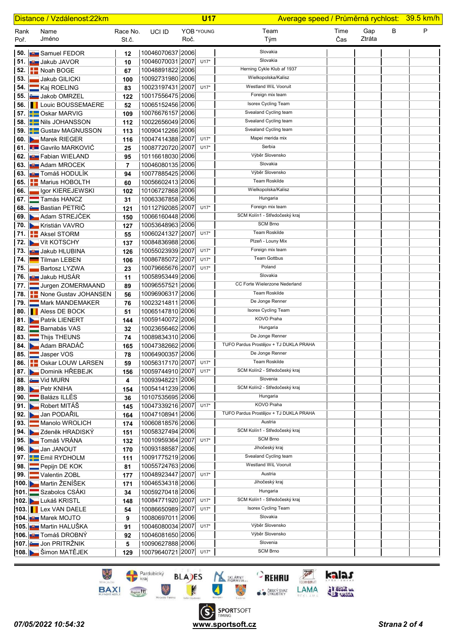| Distance / Vzdálenost:22km |                                        |                   |                                      |      | <b>U17</b> | Average speed / Průměrná rychlost: 39.5 km/h |             |               |   |   |
|----------------------------|----------------------------------------|-------------------|--------------------------------------|------|------------|----------------------------------------------|-------------|---------------|---|---|
| Rank<br>Poř.               | Name<br>Jméno                          | Race No.<br>St.č. | UCI ID                               | Roč. | YOB *YOUNG | Team<br>Tým                                  | Time<br>Čas | Gap<br>Ztráta | В | P |
|                            | 50. <b>W</b> Samuel FEDOR              | 12                | 10046070637 2006                     |      |            | Slovakia                                     |             |               |   |   |
|                            | 51. <b>Julie</b> Jakub JAVOR           | 10                | 10046070031 2007 U17*                |      |            | Slovakia                                     |             |               |   |   |
|                            | 52. <b>E.</b> Noah BOGE                | 67                | 10048891822 2006                     |      |            | Herning Cykle Klub af 1937                   |             |               |   |   |
| 53.                        | Jakub GILICKI                          | 100               | 10092731980 2006                     |      |            | Wielkopolska/Kalisz                          |             |               |   |   |
|                            | 54. Kaj ROELING                        | 83                | 10023197431 2007                     |      | $U17*$     | Westland WiL Vooruit                         |             |               |   |   |
|                            | 55. Jakob OMRZEL                       | 122               | 10017556475 2006                     |      |            | Foreign mix team                             |             |               |   |   |
|                            | <b>56. I</b> Louic BOUSSEMAERE         | 52                | 10065152456 2006                     |      |            | Isorex Cycling Team                          |             |               |   |   |
|                            | 57. Second Oskar MARVIG                | 109               | 10076676157 2006                     |      |            | Svealand Cycling team                        |             |               |   |   |
|                            | 58. Hall Nils JOHANSSON                | 112               | 10022656049 2006                     |      |            | Svealand Cycling team                        |             |               |   |   |
|                            | 59. <b>Contact MAGNUSSON</b>           | 113               | 10090412266 2006                     |      |            | Svealand Cycling team                        |             |               |   |   |
|                            | 60. Marek RIEGER                       | 116               | 10047414388 2007                     |      | $U17*$     | Mapei merida mix                             |             |               |   |   |
|                            | 61. <b>But Gavrile MARKOVIC</b>        | 25                | 10087720720 2007                     |      | $U17*$     | Serbia                                       |             |               |   |   |
|                            | 62. <b>JULI</b> Fabian WIELAND         | 95                | 10116618030 2006                     |      |            | Výběr Slovensko                              |             |               |   |   |
|                            | 63. <b>Burg Adam MROCEK</b>            | $\overline{7}$    | 10046080135 2006                     |      |            | Slovakia                                     |             |               |   |   |
|                            | 63. <b>JU Tomáš HODULÍK</b>            | 94                | 10077885425 2006                     |      |            | Výběr Slovensko                              |             |               |   |   |
|                            | 65. <b>A Marius HOBOLTH</b>            | 60                | 10056602413 2006                     |      |            | <b>Team Roskilde</b>                         |             |               |   |   |
| 66.                        | Igor KIEREJEWSKI                       | 102               | 10106727868 2006                     |      |            | Wielkopolska/Kalisz                          |             |               |   |   |
|                            | 67. <b>Em Tamás HANCZ</b>              | 31                | 10063367858 2006                     |      |            | Hungaria                                     |             |               |   |   |
|                            | 68. <b>Bastian PETRIC</b>              | 121               | 10112792085 2007 U17*                |      |            | Foreign mix team                             |             |               |   |   |
|                            | 69. Adam STREJČEK                      | 150               | 10066160448 2006                     |      |            | SCM Kolín1 - Středočeský kraj                |             |               |   |   |
|                            | 70. Kristián VAVRO                     | 127               | 10053648963 2006                     |      |            | <b>SCM Brno</b>                              |             |               |   |   |
|                            | 71. <b>Aksel STORM</b>                 | 55                | 10060241327 2007                     |      | $U17*$     | <b>Team Roskilde</b>                         |             |               |   |   |
|                            | 72. Vít KOTSCHY                        | 137               | 10084836988 2006                     |      |            | Plzeň - Louny Mix                            |             |               |   |   |
|                            | 73. <b>But</b> Jakub HLUBINA           | 126               | 10055023939 2007                     |      | $U17*$     | Foreign mix team                             |             |               |   |   |
| 74.                        | <b>Tilman LEBEN</b>                    | 106               | 10086785072 2007                     |      | $U17*$     | <b>Team Gottbus</b>                          |             |               |   |   |
| 75.                        | <b>Bartosz LYZWA</b>                   | 23                | 10079665676 2007                     |      | $U17*$     | Poland                                       |             |               |   |   |
|                            | 76. <b>Burgus</b> Jakub HUSÁR          | 11                | 10058953449 2006                     |      |            | Slovakia<br>CC Forte Wielerzone Nederland    |             |               |   |   |
| 77.                        | Jurgen ZOMERMAAND                      | 89                | 10096557521 2006                     |      |            | Team Roskilde                                |             |               |   |   |
|                            | 78. <b>E.</b> None Gustav JOHANSEN     | 56                | 10096906317 2006                     |      |            | De Jonge Renner                              |             |               |   |   |
| 79. I                      | Mark MANDEMAKER                        | 76                | 10023214811 2006                     |      |            | Isorex Cycling Team                          |             |               |   |   |
|                            | 80. <b>Aless DE BOCK</b>               | 51                | 10065147810 2006<br>10059140072 2006 |      |            | KOVO Praha                                   |             |               |   |   |
|                            | 81. Patrik LIENERT<br>82. Barnabás VAS | 144               | 10023656462 2006                     |      |            | Hungaria                                     |             |               |   |   |
| 83.                        | Thijs THEUNS                           | 32<br>74          | 10089834310 2006                     |      |            | De Jonge Renner                              |             |               |   |   |
|                            | 84. Adam BRADÁČ                        | 165               | 10047382662 2006                     |      |            | TUFO Pardus Prostějov + TJ DUKLA PRAHA       |             |               |   |   |
|                            | 85. Jasper VOS                         | 78                | 10064900357 2006                     |      |            | De Jonge Renner                              |             |               |   |   |
|                            | 86. <b>     </b> Oskar LOUW LARSEN     | 59                | 10056317170 2007                     |      | $U17*$     | Team Roskilde                                |             |               |   |   |
|                            | 87. Dominik HŘEBEJK                    | 156               | 10059744910 2007                     |      | $U17*$     | SCM Kolín2 - Středočeský kraj                |             |               |   |   |
|                            | 88. <b>Exercise Side MURN</b>          | 4                 | 10093948221 2006                     |      |            | Slovenia                                     |             |               |   |   |
|                            | 89. Petr KNIHA                         | 154               | 10054141239 2006                     |      |            | SCM Kolín2 - Středočeský kraj                |             |               |   |   |
|                            | 90. Balázs ILLÉS                       | 36                | 10107535695 2006                     |      |            | Hungaria                                     |             |               |   |   |
|                            | 91. Robert MITÁŠ                       | 145               | 10047339216 2007                     |      | $U17*$     | KOVO Praha                                   |             |               |   |   |
|                            | 92. Jan PODAŘIL                        | 164               | 10047108941 2006                     |      |            | TUFO Pardus Prostějov + TJ DUKLA PRAHA       |             |               |   |   |
| 93.                        | Manolo WROLICH                         | 174               | 10060818576 2006                     |      |            | Austria                                      |             |               |   |   |
|                            | 94. Zdeněk HRADISKÝ                    | 151               | 10058327494 2006                     |      |            | SCM Kolín1 - Středočeský kraj                |             |               |   |   |
|                            | 95. Tomáš VRÁNA                        | 132               | 10010959364 2007                     |      | $U17*$     | <b>SCM Brno</b>                              |             |               |   |   |
|                            | 96. Jan JANOUT                         | 170               | 10093188587 2006                     |      |            | Jihočeský kraj                               |             |               |   |   |
|                            | 97. Emil RYDHOLM                       | 111               | 10091775219 2006                     |      |            | Svealand Cycling team                        |             |               |   |   |
| 98. I                      | Pepijn DE KOK                          | 81                | 10055724763 2006                     |      |            | Westland WiL Vooruit                         |             |               |   |   |
| 99.                        | Valentin ZOBL                          | 177               | 10048923447 2007                     |      | $U17*$     | Austria                                      |             |               |   |   |
|                            | 100. Martin ŽENÍŠEK                    | 171               | 10046534318 2006                     |      |            | Jihočeský kraj                               |             |               |   |   |
|                            | 101. Szabolcs CSÁKI                    | 34                | 10059270418 2006                     |      |            | Hungaria                                     |             |               |   |   |
|                            | 102. Lukáš KRISTL                      | 148               | 10084771920 2007                     |      | $U17*$     | SCM Kolín1 - Středočeský kraj                |             |               |   |   |
|                            | <b>103. Lex VAN DAELE</b>              | 54                | 10086650989 2007                     |      | $U17*$     | Isorex Cycling Team                          |             |               |   |   |
|                            | 104. <b>U</b> Marek MOJTO              | 9                 | 10080697011 2006                     |      |            | Slovakia                                     |             |               |   |   |
|                            | 105. <b>Bun</b> Martin HALUŠKA         | 91                | 10046080034 2007                     |      | $U17*$     | Výběr Slovensko                              |             |               |   |   |
|                            | 106. <b>JUN</b> Tomáš DROBNÝ           | 92                | 10046081650 2006                     |      |            | Výběr Slovensko                              |             |               |   |   |
|                            | 107. Jon PRITRŽNIK                     | 5                 | 10090627888 2006                     |      |            | Slovenia<br><b>SCM Brno</b>                  |             |               |   |   |
|                            | 108. <b>Napoleon</b> Šimon MATĚJEK     | 129               | 10079640721 2007 U17*                |      |            |                                              |             |               |   |   |

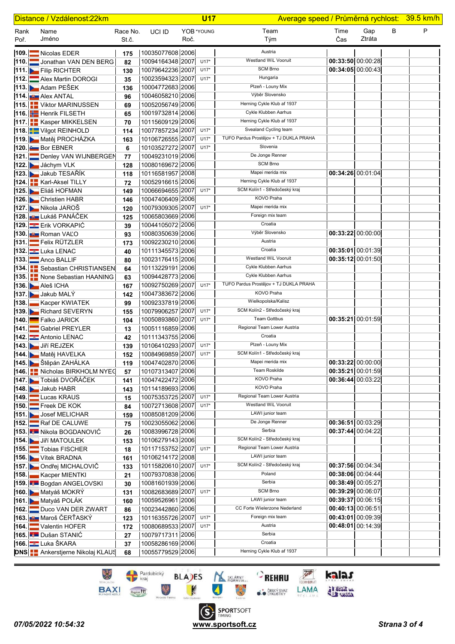| Distance / Vzdálenost: 22km |  |                                                     |                   |                                      | <b>U17</b> |            | Average speed / Průměrná rychlost: 39.5 km/h                   |                     |               |   |   |
|-----------------------------|--|-----------------------------------------------------|-------------------|--------------------------------------|------------|------------|----------------------------------------------------------------|---------------------|---------------|---|---|
| Rank<br>Poř.                |  | Name<br>Jméno                                       | Race No.<br>St.č. | UCI ID                               | Roč.       | YOB *YOUNG | Team<br>Tým                                                    | Time<br>Čas         | Gap<br>Ztráta | В | P |
|                             |  | 109. Nicolas EDER                                   | 175               | 10035077608 2006                     |            |            | Austria                                                        |                     |               |   |   |
|                             |  | 110. Jonathan VAN DEN BERG                          | 82                | 10094164348 2007 U17*                |            |            | <b>Westland WiL Vooruit</b>                                    | 00:33:50 00:00:28   |               |   |   |
|                             |  | 111. Filip RICHTER                                  | 130               | 10079642236 2007 U17*                |            |            | <b>SCM Brno</b>                                                | 00:34:05 00:00:43   |               |   |   |
|                             |  | 112. Alex Martin DOROGI                             | 35                | 10023594323 2007                     |            | $U17*$     | Hungaria                                                       |                     |               |   |   |
|                             |  | 113. Adam PESEK                                     | 136               | 10004772683 2006                     |            |            | Plzeň - Louny Mix                                              |                     |               |   |   |
|                             |  | 114. <b>U.</b> Alex ANTAL                           | 96                | 10046058210 2006                     |            |            | Výběr Slovensko                                                |                     |               |   |   |
|                             |  | 115. Viktor MARINUSSEN                              | 69                | 10052056749 2006                     |            |            | Herning Cykle Klub af 1937                                     |                     |               |   |   |
|                             |  | 116. Henrik FILSETH                                 | 65                | 10019732814 2006                     |            |            | Cykle Klubben Aarhus                                           |                     |               |   |   |
|                             |  | 117. <b>H</b> Kasper MIKKELSEN                      | 70                | 10115609129 2006                     |            |            | Herning Cykle Klub af 1937                                     |                     |               |   |   |
|                             |  | 118. Vilgot REINHOLD                                | 114               | 10077857234 2007                     |            | $U17*$     | Svealand Cycling team                                          |                     |               |   |   |
|                             |  | 119. Matěj PROCHÁZKA                                | 163               | 10106726555 2007                     |            | $U17*$     | TUFO Pardus Prostějov + TJ DUKLA PRAHA                         |                     |               |   |   |
|                             |  | 120. Bor EBNER                                      | 6                 | 10103527272 2007                     |            | $U17*$     | Slovenia                                                       |                     |               |   |   |
|                             |  | 121. Denley VAN WIJNBERGEN                          | 77                | 10049231019 2006                     |            |            | De Jonge Renner                                                |                     |               |   |   |
|                             |  | 122. Jáchym VLK                                     | 128               | 10080169672 2006                     |            |            | <b>SCM Brno</b>                                                |                     |               |   |   |
|                             |  | 123. Jakub TESAŘÍK                                  | 118               | 10116581957 2008                     |            |            | Mapei merida mix                                               | 00:34:26 00:01:04   |               |   |   |
|                             |  | 124. Karl-Aksel TILLY                               | 72                | 10052916615 2006                     |            |            | Herning Cykle Klub af 1937                                     |                     |               |   |   |
|                             |  | 125. Eliáš HOFMAN                                   | 149               | 10066694655 2007                     |            | $U17*$     | SCM Kolín1 - Středočeský kraj                                  |                     |               |   |   |
|                             |  | 126. Christien HABR                                 | 146               | 10047406409 2006                     |            |            | KOVO Praha                                                     |                     |               |   |   |
|                             |  | 127. Nikola JAROŠ                                   | 120               | 10079309305 2007                     |            | $U17*$     | Mapei merida mix                                               |                     |               |   |   |
|                             |  | <b>128. µy L</b> ukáš PANÁČEK                       | 125               | 10065803669 2006                     |            |            | Foreign mix team                                               |                     |               |   |   |
|                             |  | 129. Erik VORKAPIĆ                                  | 39                | 10044105072 2006                     |            |            | Croatia                                                        |                     |               |   |   |
|                             |  | 130. Bu Roman VALO                                  | 93                | 10080350639 2006                     |            |            | Výběr Slovensko                                                | $00:33:22$ 00:00:00 |               |   |   |
|                             |  | 131. Felix RÜTZLER                                  | 173               | 10092230210 2006                     |            |            | Austria                                                        |                     |               |   |   |
|                             |  | 132. Luka LENAC                                     | 40                | 10111345573 2006                     |            |            | Croatia                                                        | 00:35:01 00:01:39   |               |   |   |
|                             |  | 133. Anco BALLIF                                    | 80                | 10023176415 2006                     |            |            | Westland WiL Vooruit                                           | 00:35:12 00:01:50   |               |   |   |
|                             |  | 134. <b>BE</b> Sebastian CHRISTIANSEN               | 64                | 10113229191 2006                     |            |            | Cykle Klubben Aarhus                                           |                     |               |   |   |
|                             |  | 135. None Sebastian HAANING                         | 63                | 10094428773 2006                     |            |            | Cykle Klubben Aarhus<br>TUFO Pardus Prostějov + TJ DUKLA PRAHA |                     |               |   |   |
|                             |  | <b>136.</b> Aleš ICHA                               | 167               | 10092750269 2007                     |            | $U17*$     | KOVO Praha                                                     |                     |               |   |   |
|                             |  | 137. Jakub MALÝ                                     | 142               | 10047383672 2006                     |            |            | Wielkopolska/Kalisz                                            |                     |               |   |   |
| 138                         |  | Kacper KWIATEK                                      | 99                | 10092337819 2006                     |            | $U17*$     | SCM Kolín2 - Středočeský kraj                                  |                     |               |   |   |
|                             |  | 139. Richard SEVERYN<br>140. <b>Exercise SARICK</b> | 155               | 10079906257 2007<br>10050893860 2007 |            | $U17*$     | <b>Team Gottbus</b>                                            | 00:35:21 00:01:59   |               |   |   |
|                             |  | 141. Gabriel PREYLER                                | 104               | 10051116859 2006                     |            |            | Regional Team Lower Austria                                    |                     |               |   |   |
|                             |  | 142. Antonio LENAC                                  | 13<br>42          | 10111343755 2006                     |            |            | Croatia                                                        |                     |               |   |   |
|                             |  | 143. Jiří REJZEK                                    | 139               | 10106410293 2007 U17*                |            |            | Plzeň - Louny Mix                                              |                     |               |   |   |
|                             |  | 144. Matěj HAVELKA                                  | 152               | 10084969859 2007 U17*                |            |            | SCM Kolín1 - Středočeský kraj                                  |                     |               |   |   |
|                             |  | 145. Štěpán ZAHÁLKA                                 | 119               | 10047402870 2006                     |            |            | Mapei merida mix                                               | 00:33:22 00:00:00   |               |   |   |
|                             |  | 146. Nicholas BIRKHOLM NYEC                         | 57                | 10107313407 2006                     |            |            | <b>Team Roskilde</b>                                           | 00:35:21 00:01:59   |               |   |   |
|                             |  | 147. Tobiáš DVOŘÁČEK                                | 141               | 10047422472 2006                     |            |            | KOVO Praha                                                     | 00:36:44 00:03:22   |               |   |   |
|                             |  | 148. Jakub HABR                                     | 143               | 10114189693 2006                     |            |            | KOVO Praha                                                     |                     |               |   |   |
|                             |  | 149. Lucas KRAUS                                    | 15                | 10075353725 2007                     |            | $U17*$     | Regional Team Lower Austria                                    |                     |               |   |   |
|                             |  | 150. Freek DE KOK                                   | 84                | 10072713608 2007                     |            | $U17*$     | Westland WiL Vooruit                                           |                     |               |   |   |
|                             |  | 151. Josef MELICHAR                                 | 159               | 10085081209 2006                     |            |            | LAWI junior team                                               |                     |               |   |   |
| 152.                        |  | Raf DE CALUWE                                       | 75                | 10023055062 2006                     |            |            | De Jonge Renner                                                | 00:36:51 00:03:29   |               |   |   |
|                             |  | 153. Nikola BOGDANOVIĆ                              | 26                | 10083996728 2006                     |            |            | Serbia                                                         | 00:37:44 00:04:22   |               |   |   |
|                             |  | 154. JIří MATOULEK                                  | 153               | 10106279143 2006                     |            |            | SCM Kolín2 - Středočeský kraj                                  |                     |               |   |   |
|                             |  | 155. Tobias FISCHER                                 | 18                | 10117153752 2007                     |            | $U17*$     | Regional Team Lower Austria                                    |                     |               |   |   |
|                             |  | 156. Vítek BRADNA                                   | 161               | 10106214172 2008                     |            |            | LAWI junior team                                               |                     |               |   |   |
|                             |  | 157. Dondřej MICHALOVIČ                             | 133               | 10115820610 2007                     |            | $U17*$     | SCM Kolín2 - Středočeský kraj                                  | 00:37:56 00:04:34   |               |   |   |
| 158.                        |  | Kacper MIENTKI                                      | 21                | 10079370838 2006                     |            |            | Poland                                                         | 00:38:06 00:04:44   |               |   |   |
|                             |  | 159. Bogdan ANGELOVSKI                              | 30                | 10081601939 2006                     |            |            | Serbia                                                         | 00:38:49 00:05:27   |               |   |   |
|                             |  | 160. Matyáš MOKRÝ                                   | 131               | 10082683689 2007                     |            | $U17*$     | <b>SCM Brno</b>                                                | 00:39:29 00:06:07   |               |   |   |
|                             |  | 161. Matyáš POLÁK                                   | 160               | 10059526961 2006                     |            |            | LAWI junior team                                               | 00:39:37 00:06:15   |               |   |   |
|                             |  | 162. Duco VAN DER ZWART                             | 86                | 10023442860 2006                     |            |            | CC Forte Wielerzone Nederland<br>Foreign mix team              | 00:40:13 00:06:51   |               |   |   |
|                             |  | <b>163. µ∪ Maroš ČERŤASKÝ</b>                       | 123               | 10116355726 2007                     |            | $U17*$     | Austria                                                        | $00:43:01$ 00:09:39 |               |   |   |
|                             |  | 164. Valentin HOFER                                 | 172               | 10080689533 2007<br>10079717311 2006 |            | $U17*$     | Serbia                                                         | $00:48:01$ 00:14:39 |               |   |   |
|                             |  | 165. Dušan STANIĆ<br>166. Luka ŠKARA                | 27                | 10058286169 2006                     |            |            | Croatia                                                        |                     |               |   |   |
|                             |  | <b>DNS</b>   Ankerstjerne Nikolaj KLAUS             | 37<br>68          | 10055779529 2006                     |            |            | Herning Cykle Klub af 1937                                     |                     |               |   |   |
|                             |  |                                                     |                   |                                      |            |            |                                                                |                     |               |   |   |

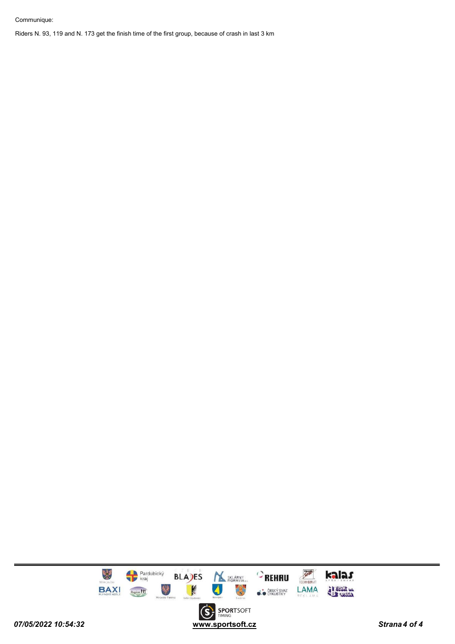#### Communique:

Riders N. 93, 119 and N. 173 get the finish time of the first group, because of crash in last 3 km

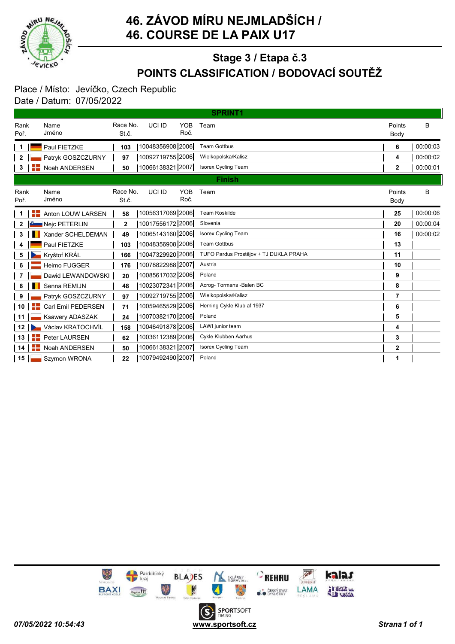

### 46. ZÁVOD MÍRU NEJMLADŠÍCH / 46. COURSE DE LA PAIX U17

# POINTS CLASSIFICATION / BODOVACÍ SOUTĚŽ Stage 3 / Etapa č.3

#### Place / Místo: Jevíčko, Czech Republic Date / Datum: 07/05/2022

|              | <b>SPRINT1</b>          |                   |                              |                                        |                |          |  |  |  |
|--------------|-------------------------|-------------------|------------------------------|----------------------------------------|----------------|----------|--|--|--|
| Rank<br>Poř. | Name<br>Jméno           | Race No.<br>St.č. | <b>YOB</b><br>UCI ID<br>Roč. | Team                                   | Points<br>Body | B        |  |  |  |
|              | Paul FIETZKE            | 103               | 10048356908 2006             | <b>Team Gottbus</b>                    | 6              | 00:00:03 |  |  |  |
| 2            | Patryk GOSZCZURNY       | 97                | 10092719755 2006             | Wielkopolska/Kalisz                    | 4              | 00:00:02 |  |  |  |
| 3            | Noah ANDERSEN           | 50                | 10066138321 2007             | <b>Isorex Cycling Team</b>             | 2              | 00:00:01 |  |  |  |
|              | <b>Finish</b>           |                   |                              |                                        |                |          |  |  |  |
| Rank<br>Poř. | Name<br>Jméno           | Race No.<br>St.č. | <b>YOB</b><br>UCI ID<br>Roč. | Team                                   | Points<br>Body | B        |  |  |  |
|              | Anton LOUW LARSEN       | 58                | 10056317069 2006             | <b>Team Roskilde</b>                   | 25             | 00:00:06 |  |  |  |
| 2            | Nejc PETERLIN           | $\overline{2}$    | 10017556172 2006             | Slovenia                               | 20             | 00:00:04 |  |  |  |
| 3            | Xander SCHELDEMAN       | 49                | 10065143160 2006             | <b>Isorex Cycling Team</b>             | 16             | 00:00:02 |  |  |  |
| 4            | Paul FIETZKE            | 103               | 10048356908 2006             | <b>Team Gottbus</b>                    | 13             |          |  |  |  |
| 5            | Kryštof KRÁL            | 166               | 10047329920 2006             | TUFO Pardus Prostějov + TJ DUKLA PRAHA | 11             |          |  |  |  |
| 6            | <b>Heimo FUGGER</b>     | 176               | 10078822988 2007             | Austria                                | 10             |          |  |  |  |
| 7            | Dawid LEWANDOWSKI       | 20                | 10085617032 2006             | Poland                                 | 9              |          |  |  |  |
| 8            | Senna REMIJN            | 48                | 10023072341 2006             | Acroq- Tormans - Balen BC              | 8              |          |  |  |  |
| 9            | Patryk GOSZCZURNY       | 97                | 10092719755 2006             | Wielkopolska/Kalisz                    | 7              |          |  |  |  |
| 10           | Carl Emil PEDERSEN<br>+ | 71                | 10059465529 2006             | Herning Cykle Klub af 1937             | 6              |          |  |  |  |
| 11           | <b>Ksawery ADASZAK</b>  | 24                | 10070382170 2006             | Poland                                 | 5              |          |  |  |  |
| 12           | Václav KRATOCHVÍL       | 158               | 10046491878 2006             | LAWI junior team                       | 4              |          |  |  |  |
| 13           | Peter LAURSEN           | 62                | 10036112389 2006             | Cykle Klubben Aarhus                   | 3              |          |  |  |  |
| 14           | Noah ANDERSEN<br>+      | 50                | 10066138321 2007             | <b>Isorex Cycling Team</b>             | $\mathbf 2$    |          |  |  |  |
| 15           | Szymon WRONA            | 22                | 10079492490 2007             | Poland                                 | 1              |          |  |  |  |